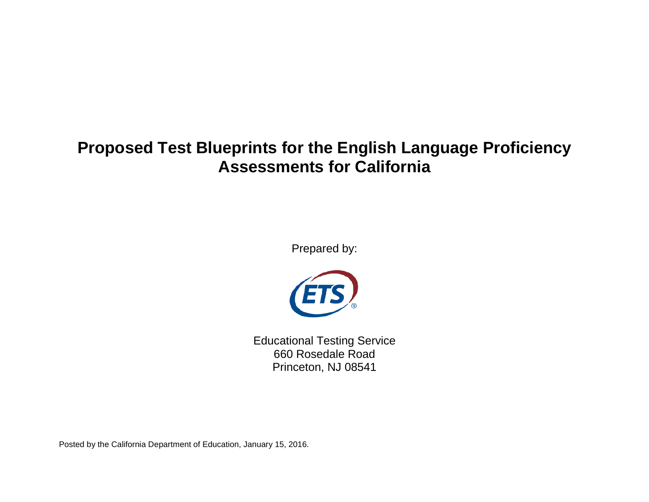# **Proposed Test Blueprints for the English Language Proficiency Assessments for California**

Prepared by:



Educational Testing Service 660 Rosedale Road Princeton, NJ 08541

Posted by the California Department of Education, January 15, 2016.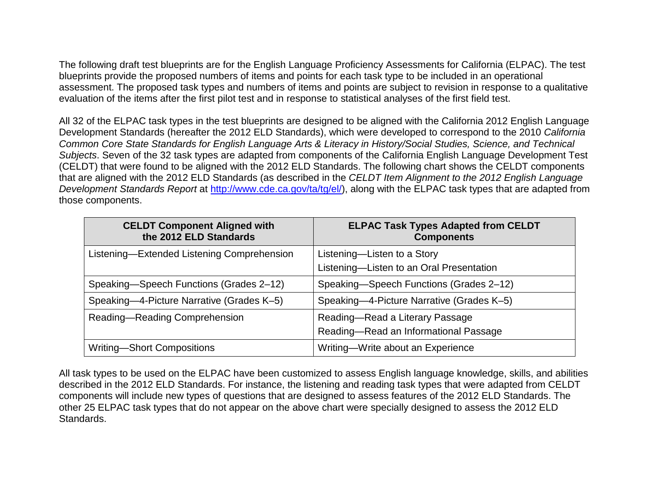The following draft test blueprints are for the English Language Proficiency Assessments for California (ELPAC). The test blueprints provide the proposed numbers of items and points for each task type to be included in an operational assessment. The proposed task types and numbers of items and points are subject to revision in response to a qualitative evaluation of the items after the first pilot test and in response to statistical analyses of the first field test.

All 32 of the ELPAC task types in the test blueprints are designed to be aligned with the California 2012 English Language Development Standards (hereafter the 2012 ELD Standards), which were developed to correspond to the 2010 *California Common Core State Standards for English Language Arts & Literacy in History/Social Studies, Science, and Technical Subjects*. Seven of the 32 task types are adapted from components of the California English Language Development Test (CELDT) that were found to be aligned with the 2012 ELD Standards. The following chart shows the CELDT components that are aligned with the 2012 ELD Standards (as described in the *CELDT Item Alignment to the 2012 English Language Development Standards Report* at [http://www.cde.ca.gov/ta/tg/el/\)](http://www.cde.ca.gov/ta/tg/el/), along with the ELPAC task types that are adapted from those components.

| <b>CELDT Component Aligned with</b><br>the 2012 ELD Standards | <b>ELPAC Task Types Adapted from CELDT</b><br><b>Components</b>          |
|---------------------------------------------------------------|--------------------------------------------------------------------------|
| Listening-Extended Listening Comprehension                    | Listening-Listen to a Story<br>Listening-Listen to an Oral Presentation  |
| Speaking—Speech Functions (Grades 2–12)                       | Speaking-Speech Functions (Grades 2-12)                                  |
| Speaking-4-Picture Narrative (Grades K-5)                     | Speaking-4-Picture Narrative (Grades K-5)                                |
| Reading-Reading Comprehension                                 | Reading-Read a Literary Passage<br>Reading-Read an Informational Passage |
| <b>Writing-Short Compositions</b>                             | Writing-Write about an Experience                                        |

All task types to be used on the ELPAC have been customized to assess English language knowledge, skills, and abilities described in the 2012 ELD Standards. For instance, the listening and reading task types that were adapted from CELDT components will include new types of questions that are designed to assess features of the 2012 ELD Standards. The other 25 ELPAC task types that do not appear on the above chart were specially designed to assess the 2012 ELD Standards.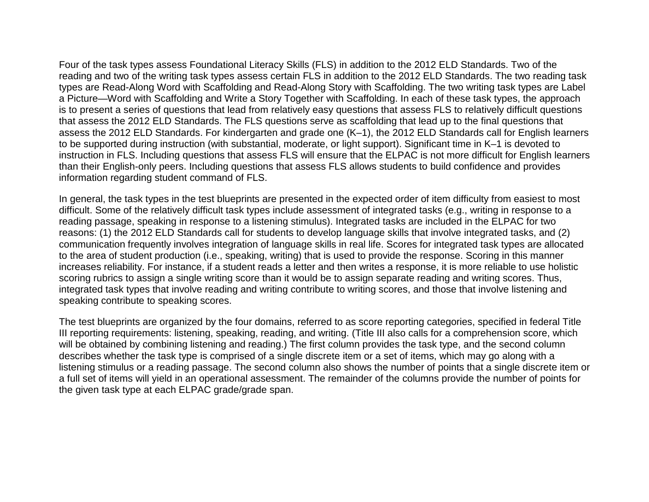Four of the task types assess Foundational Literacy Skills (FLS) in addition to the 2012 ELD Standards. Two of the reading and two of the writing task types assess certain FLS in addition to the 2012 ELD Standards. The two reading task types are Read-Along Word with Scaffolding and Read-Along Story with Scaffolding. The two writing task types are Label a Picture—Word with Scaffolding and Write a Story Together with Scaffolding. In each of these task types, the approach is to present a series of questions that lead from relatively easy questions that assess FLS to relatively difficult questions that assess the 2012 ELD Standards. The FLS questions serve as scaffolding that lead up to the final questions that assess the 2012 ELD Standards. For kindergarten and grade one (K–1), the 2012 ELD Standards call for English learners to be supported during instruction (with substantial, moderate, or light support). Significant time in K–1 is devoted to instruction in FLS. Including questions that assess FLS will ensure that the ELPAC is not more difficult for English learners than their English-only peers. Including questions that assess FLS allows students to build confidence and provides information regarding student command of FLS.

In general, the task types in the test blueprints are presented in the expected order of item difficulty from easiest to most difficult. Some of the relatively difficult task types include assessment of integrated tasks (e.g., writing in response to a reading passage, speaking in response to a listening stimulus). Integrated tasks are included in the ELPAC for two reasons: (1) the 2012 ELD Standards call for students to develop language skills that involve integrated tasks, and (2) communication frequently involves integration of language skills in real life. Scores for integrated task types are allocated to the area of student production (i.e., speaking, writing) that is used to provide the response. Scoring in this manner increases reliability. For instance, if a student reads a letter and then writes a response, it is more reliable to use holistic scoring rubrics to assign a single writing score than it would be to assign separate reading and writing scores. Thus, integrated task types that involve reading and writing contribute to writing scores, and those that involve listening and speaking contribute to speaking scores.

The test blueprints are organized by the four domains, referred to as score reporting categories, specified in federal Title III reporting requirements: listening, speaking, reading, and writing. (Title III also calls for a comprehension score, which will be obtained by combining listening and reading.) The first column provides the task type, and the second column describes whether the task type is comprised of a single discrete item or a set of items, which may go along with a listening stimulus or a reading passage. The second column also shows the number of points that a single discrete item or a full set of items will yield in an operational assessment. The remainder of the columns provide the number of points for the given task type at each ELPAC grade/grade span.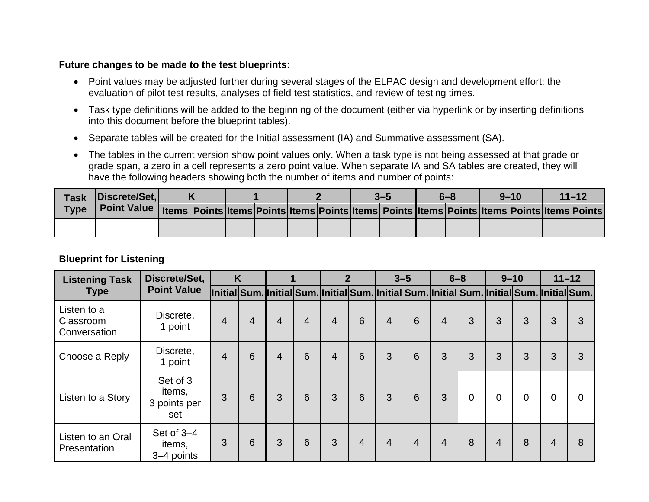#### **Future changes to be made to the test blueprints:**

- Point values may be adjusted further during several stages of the ELPAC design and development effort: the evaluation of pilot test results, analyses of field test statistics, and review of testing times.
- Task type definitions will be added to the beginning of the document (either via hyperlink or by inserting definitions into this document before the blueprint tables).
- Separate tables will be created for the Initial assessment (IA) and Summative assessment (SA).
- The tables in the current version show point values only. When a task type is not being assessed at that grade or grade span, a zero in a cell represents a zero point value. When separate IA and SA tables are created, they will have the following headers showing both the number of items and number of points:

|             | Task Discrete/Set,                                                                                                                 |  |  |  | $3 - 5$ | $6 - 8$ | $9 - 10$ | $11 - 12$ |
|-------------|------------------------------------------------------------------------------------------------------------------------------------|--|--|--|---------|---------|----------|-----------|
| <b>Type</b> | Point Value   Items   Points   Items   Points   Items   Points   Items   Points   Items   Points   Items   Points   Items   Points |  |  |  |         |         |          |           |
|             |                                                                                                                                    |  |  |  |         |         |          |           |

### **Blueprint for Listening**

| <b>Listening Task</b>                    | Discrete/Set,                             |                                                                                            | K              |                |                |                | $\overline{2}$ |                | $3 - 5$        |                | $6 - 8$        |                | $9 - 10$       |   | $11 - 12$ |
|------------------------------------------|-------------------------------------------|--------------------------------------------------------------------------------------------|----------------|----------------|----------------|----------------|----------------|----------------|----------------|----------------|----------------|----------------|----------------|---|-----------|
| <b>Type</b>                              | <b>Point Value</b>                        | Initial Sum. Initial Sum. Initial Sum. Initial Sum. Initial Sum. Initial Sum. Initial Sum. |                |                |                |                |                |                |                |                |                |                |                |   |           |
| Listen to a<br>Classroom<br>Conversation | Discrete,<br>1 point                      | $\overline{4}$                                                                             | $\overline{4}$ | 4              | $\overline{4}$ | 4              | 6              | $\overline{4}$ | 6              | $\overline{4}$ | 3              | 3              | 3              | 3 | 3         |
| Choose a Reply                           | Discrete,<br>1 point                      | $\overline{4}$                                                                             | 6              | $\overline{4}$ | 6              | $\overline{4}$ | 6              | 3              | 6              | $\mathbf{3}$   | 3              | 3              | 3              | 3 | 3         |
| Listen to a Story                        | Set of 3<br>items,<br>3 points per<br>set | 3                                                                                          | 6              | 3              | 6              | 3              | 6              | 3              | 6              | 3              | $\overline{0}$ | $\overline{0}$ | $\overline{0}$ | 0 | 0         |
| Listen to an Oral<br>Presentation        | Set of 3-4<br>items,<br>3-4 points        | 3                                                                                          | 6              | 3              | 6              | 3              | $\overline{4}$ | $\overline{4}$ | $\overline{4}$ | $\overline{4}$ | 8              | 4              | 8              | 4 | 8         |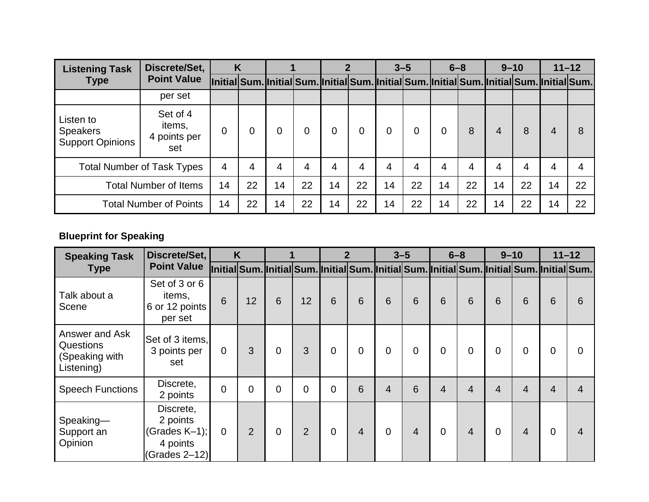| <b>Listening Task</b>                                   | Discrete/Set,                             |                | K  |    |                                                                                            |                |    |    | $3 - 5$ |    | $6 - 8$ | $9 - 10$ |    |    | $11 - 12$ |
|---------------------------------------------------------|-------------------------------------------|----------------|----|----|--------------------------------------------------------------------------------------------|----------------|----|----|---------|----|---------|----------|----|----|-----------|
| <b>Type</b>                                             | <b>Point Value</b>                        |                |    |    | Initial Sum. Initial Sum. Initial Sum. Initial Sum. Initial Sum. Initial Sum. Initial Sum. |                |    |    |         |    |         |          |    |    |           |
|                                                         | per set                                   |                |    |    |                                                                                            |                |    |    |         |    |         |          |    |    |           |
| Listen to<br><b>Speakers</b><br><b>Support Opinions</b> | Set of 4<br>items,<br>4 points per<br>set | $\overline{0}$ |    |    | 0                                                                                          | 0              | 0  | 0  | 0       | 0  | 8       | 4        | 8  | 4  |           |
|                                                         | <b>Total Number of Task Types</b>         | 4              | 4  | 4  | 4                                                                                          | $\overline{4}$ | 4  | 4  | 4       | 4  | 4       | 4        | 4  | 4  |           |
|                                                         | <b>Total Number of Items</b>              | 14             | 22 | 14 | 22                                                                                         | 14             | 22 | 14 | 22      | 14 | 22      | 14       | 22 | 14 | 22        |
|                                                         | <b>Total Number of Points</b>             | 14             | 22 | 14 | 22                                                                                         | 14             | 22 | 14 | 22      | 14 | 22      | 14       | 22 | 14 | 22        |

# **Blueprint for Speaking**

| <b>Speaking Task</b>                                               | Discrete/Set,                                                            |                | K              |          |                                                                                            | $\mathbf 2$    |                |                | $3 - 5$        | $6 - 8$     |                |                | $9 - 10$       |   | $11 - 12$ |
|--------------------------------------------------------------------|--------------------------------------------------------------------------|----------------|----------------|----------|--------------------------------------------------------------------------------------------|----------------|----------------|----------------|----------------|-------------|----------------|----------------|----------------|---|-----------|
| <b>Type</b>                                                        | <b>Point Value</b>                                                       |                |                |          | Initial Sum. Initial Sum. Initial Sum. Initial Sum. Initial Sum. Initial Sum. Initial Sum. |                |                |                |                |             |                |                |                |   |           |
| Talk about a<br>Scene                                              | Set of 3 or 6<br>items,<br>6 or 12 points<br>per set                     | 6              | 12             | 6        | 12                                                                                         | 6              | 6              | 6              | 6              | 6           | 6              | 6              | 6              | 6 | 6         |
| Answer and Ask<br><b>Questions</b><br>(Speaking with<br>Listening) | Set of 3 items,<br>3 points per<br>set                                   | $\overline{0}$ | 3              | 0        | 3                                                                                          | $\mathbf 0$    | $\mathbf 0$    | $\overline{0}$ | $\overline{0}$ | $\mathbf 0$ | $\overline{0}$ | 0              | $\overline{0}$ | 0 | $\Omega$  |
| <b>Speech Functions</b>                                            | Discrete,<br>2 points                                                    | $\overline{0}$ | $\overline{0}$ | $\Omega$ | $\mathbf 0$                                                                                | $\overline{0}$ | 6              | $\overline{4}$ | 6              | 4           | 4              | $\overline{4}$ | 4              | 4 | 4         |
| Speaking-<br>Support an<br>Opinion                                 | Discrete,<br>2 points<br>(Grades $K-1$ );<br>4 points<br>$(Grades 2-12)$ | $\overline{0}$ | $\overline{2}$ | $\Omega$ | 2                                                                                          | $\Omega$       | $\overline{4}$ | $\mathbf 0$    | $\overline{4}$ | $\Omega$    | $\overline{4}$ | 0              | $\overline{4}$ | 0 | 4         |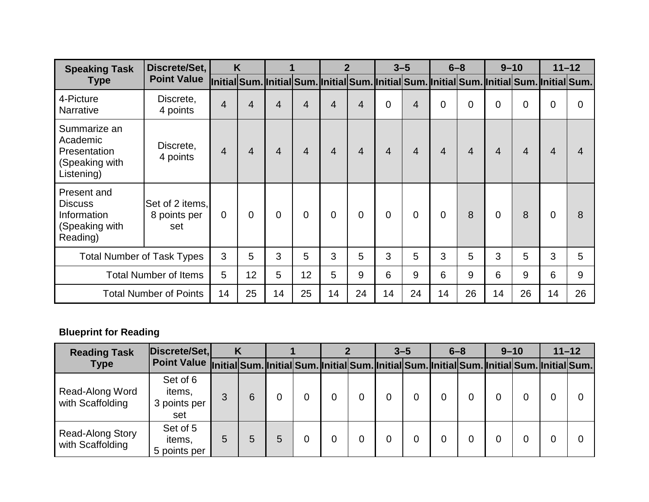| <b>Speaking Task</b>                                                       | Discrete/Set,                          |                | K              |          |             |                | $\overline{2}$ |                | $3 - 5$        | $6 - 8$                                                                                    |                | $9 - 10$       |                |    | $11 - 12$ |
|----------------------------------------------------------------------------|----------------------------------------|----------------|----------------|----------|-------------|----------------|----------------|----------------|----------------|--------------------------------------------------------------------------------------------|----------------|----------------|----------------|----|-----------|
| <b>Type</b>                                                                | <b>Point Value</b>                     |                |                |          |             |                |                |                |                | Initial Sum. Initial Sum. Initial Sum. Initial Sum. Initial Sum. Initial Sum. Initial Sum. |                |                |                |    |           |
| 4-Picture<br><b>Narrative</b>                                              | Discrete,<br>4 points                  | 4              | 4              | 4        | 4           | 4              | $\overline{4}$ | $\overline{0}$ | $\overline{4}$ | $\mathbf 0$                                                                                | $\overline{0}$ | 0              | $\overline{0}$ | 0  | 0         |
| Summarize an<br>Academic<br>Presentation<br>(Speaking with<br>Listening)   | Discrete,<br>4 points                  | $\overline{4}$ | $\overline{4}$ | 4        | 4           | 4              | $\overline{4}$ | $\overline{4}$ | 4              | $\overline{4}$                                                                             | 4              | $\overline{4}$ | $\overline{4}$ | 4  |           |
| Present and<br><b>Discuss</b><br>Information<br>(Speaking with<br>Reading) | Set of 2 items.<br>8 points per<br>set | $\overline{0}$ | $\overline{0}$ | $\Omega$ | $\mathbf 0$ | $\overline{0}$ | $\overline{0}$ | $\overline{0}$ | $\overline{0}$ | $\mathbf 0$                                                                                | 8              | 0              | 8              | 0  | 8         |
| <b>Total Number of Task Types</b>                                          |                                        | 3              | 5              | 3        | 5           | 3              | 5              | 3              | 5              | 3                                                                                          | 5              | 3              | 5              | 3  | 5         |
|                                                                            | <b>Total Number of Items</b>           | 5              | 12             | 5        | 12          | 5              | 9              | 6              | 9              | 6                                                                                          | 9              | 6              | 9              | 6  | 9         |
|                                                                            | <b>Total Number of Points</b>          | 14             | 25             | 14       | 25          | 14             | 24             | 14             | 24             | 14                                                                                         | 26             | 14             | 26             | 14 | 26        |

## **Blueprint for Reading**

| <b>Reading Task</b>                         | Discrete/Set,                                                                                           |   |   |   |  | $3 - 5$ |   | $6 - 8$ | $9 - 10$ | $11 - 12$ |  |
|---------------------------------------------|---------------------------------------------------------------------------------------------------------|---|---|---|--|---------|---|---------|----------|-----------|--|
| <b>Type</b>                                 | Point Value [initial Sum. Initial Sum. Initial Sum. Initial Sum. Initial Sum. Initial Sum. Initial Sum. |   |   |   |  |         |   |         |          |           |  |
| Read-Along Word<br>with Scaffolding         | Set of 6<br>items,<br>3 points per<br>set                                                               | 3 | 6 |   |  |         | 0 |         |          |           |  |
| <b>Read-Along Story</b><br>with Scaffolding | Set of 5<br>items,<br>5 points per                                                                      | 5 | 5 | 5 |  |         | 0 |         |          |           |  |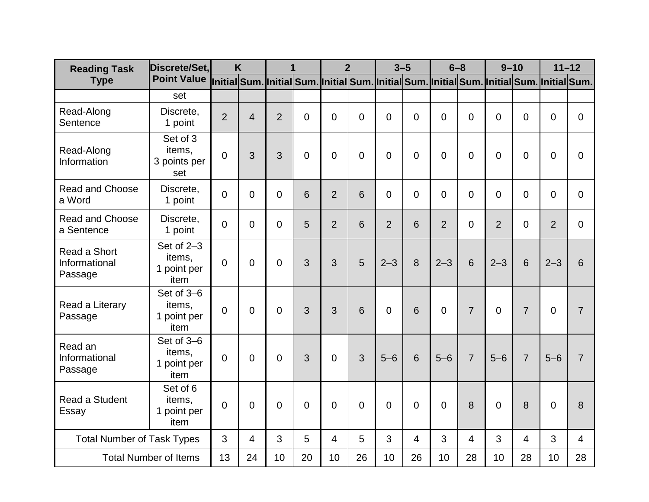| <b>Reading Task</b>                      | Discrete/Set.                                 |                                                                                            | K              | 1              |          |                | $\overline{2}$  |                | $3 - 5$        | $6 - 8$        |                 | $9 - 10$       |                 | $11 - 12$      |                |
|------------------------------------------|-----------------------------------------------|--------------------------------------------------------------------------------------------|----------------|----------------|----------|----------------|-----------------|----------------|----------------|----------------|-----------------|----------------|-----------------|----------------|----------------|
| <b>Type</b>                              | <b>Point Value</b>                            | Initial Sum. Initial Sum. Initial Sum. Initial Sum. Initial Sum. Initial Sum. Initial Sum. |                |                |          |                |                 |                |                |                |                 |                |                 |                |                |
|                                          | set                                           |                                                                                            |                |                |          |                |                 |                |                |                |                 |                |                 |                |                |
| Read-Along<br>Sentence                   | Discrete,<br>1 point                          | $\overline{2}$                                                                             | $\overline{4}$ | $\overline{2}$ | $\Omega$ | $\overline{0}$ | $\overline{0}$  | $\overline{0}$ | 0              | $\overline{0}$ | $\overline{0}$  | $\Omega$       | $\overline{0}$  | 0              | $\Omega$       |
| Read-Along<br>Information                | Set of 3<br>items,<br>3 points per<br>set     | $\overline{0}$                                                                             | 3              | 3              | 0        | $\overline{0}$ | $\overline{0}$  | $\overline{0}$ | $\overline{0}$ | 0              | $\overline{0}$  | $\mathbf 0$    | $\overline{0}$  | 0              | 0              |
| <b>Read and Choose</b><br>a Word         | Discrete,<br>1 point                          | $\overline{0}$                                                                             | $\mathbf 0$    | 0              | 6        | $\overline{2}$ | $6\phantom{1}6$ | $\mathbf 0$    | 0              | $\overline{0}$ | $\overline{0}$  | $\Omega$       | $\mathbf 0$     | 0              | $\Omega$       |
| <b>Read and Choose</b><br>a Sentence     | Discrete,<br>1 point                          | $\overline{0}$                                                                             | $\overline{0}$ | 0              | 5        | $\overline{2}$ | $6\phantom{1}6$ | $\overline{2}$ | 6              | $\overline{2}$ | $\overline{0}$  | $\overline{2}$ | 0               | $\overline{2}$ | $\Omega$       |
| Read a Short<br>Informational<br>Passage | Set of $2-3$<br>items,<br>1 point per<br>item | $\Omega$                                                                                   | $\overline{0}$ | 0              | 3        | 3              | 5               | $2 - 3$        | 8              | $2 - 3$        | $6\phantom{1}6$ | $2 - 3$        | $6\phantom{1}6$ | $2 - 3$        | 6              |
| Read a Literary<br>Passage               | Set of 3-6<br>items.<br>1 point per<br>item   | $\overline{0}$                                                                             | $\overline{0}$ | 0              | 3        | 3              | 6               | $\overline{0}$ | 6              | 0              | $\overline{7}$  | $\Omega$       | $\overline{7}$  | $\overline{0}$ | $\overline{7}$ |
| Read an<br>Informational<br>Passage      | Set of 3-6<br>items,<br>1 point per<br>item   | $\overline{0}$                                                                             | $\overline{0}$ | $\Omega$       | 3        | $\Omega$       | 3               | $5 - 6$        | 6              | $5 - 6$        | $\overline{7}$  | $5 - 6$        | $\overline{7}$  | $5 - 6$        | 7              |
| Read a Student<br>Essay                  | Set of 6<br>items,<br>point per<br>item       | $\overline{0}$                                                                             | $\overline{0}$ | 0              | 0        | $\overline{0}$ | $\overline{0}$  | $\overline{0}$ | $\overline{0}$ | 0              | 8               | $\mathbf 0$    | 8               | 0              | 8              |
| <b>Total Number of Task Types</b>        |                                               | 3                                                                                          | $\overline{4}$ | 3              | 5        | $\overline{4}$ | 5               | 3              | 4              | 3              | $\overline{4}$  | 3              | $\overline{4}$  | 3              | $\overline{4}$ |
|                                          | <b>Total Number of Items</b>                  | 13                                                                                         | 24             | 10             | 20       | 10             | 26              | 10             | 26             | 10             | 28              | 10             | 28              | 10             | 28             |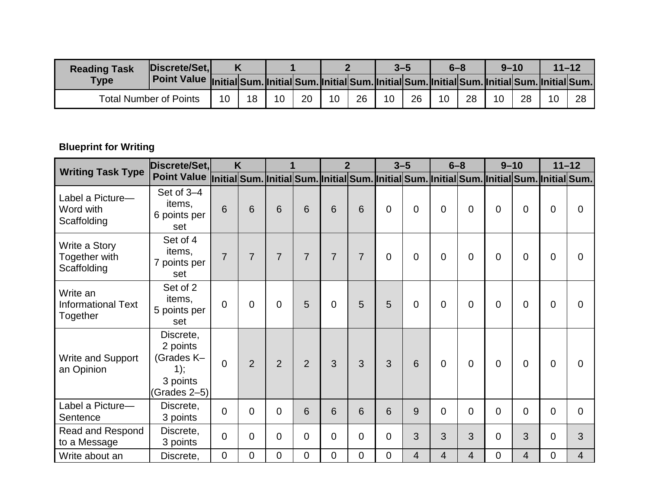| <b>Reading Task</b> | Discrete/Set,                                                                                                  |    |    |    |    |    |    | 3–5 |    | 6–8 |    | $9 - 10$ |    | $11 - 12$ |    |
|---------------------|----------------------------------------------------------------------------------------------------------------|----|----|----|----|----|----|-----|----|-----|----|----------|----|-----------|----|
| <b>Type</b>         | Point Value Initial Sum. Initial Sum. Initial Sum. Initial Sum. Initial Sum. Initial Sum. Initial Sum. Initial |    |    |    |    |    |    |     |    |     |    |          |    |           |    |
|                     | <b>Total Number of Points</b>                                                                                  | 10 | 18 | 10 | 20 | 10 | 26 | 10  | 26 | 10  | 28 | 10       | 28 | 10        | ററ |

## **Blueprint for Writing**

|                                                   | Discrete/Set,                                                          |                | K              |                |                |                | $\overline{2}$ |                | $3 - 5$        | $6 - 8$                                                                                    |                |                | $9 - 10$       |   | $11 - 12$ |
|---------------------------------------------------|------------------------------------------------------------------------|----------------|----------------|----------------|----------------|----------------|----------------|----------------|----------------|--------------------------------------------------------------------------------------------|----------------|----------------|----------------|---|-----------|
| <b>Writing Task Type</b>                          | <b>Point Value</b>                                                     |                |                |                |                |                |                |                |                | Initial Sum. Initial Sum. Initial Sum. Initial Sum. Initial Sum. Initial Sum. Initial Sum. |                |                |                |   |           |
| Label a Picture-<br>Word with<br>Scaffolding      | Set of 3-4<br>items,<br>6 points per<br>set                            | 6              | 6              | 6              | 6              | 6              | 6              | $\overline{0}$ | 0              | $\overline{0}$                                                                             | $\Omega$       | $\overline{0}$ | $\overline{0}$ | 0 | 0         |
| Write a Story<br>Together with<br>Scaffolding     | Set of 4<br>items.<br>7 points per<br>set                              | $\overline{7}$ | $\overline{7}$ | $\overline{7}$ | $\overline{7}$ | $\overline{7}$ | $\overline{7}$ | $\overline{0}$ | 0              | $\overline{0}$                                                                             | $\Omega$       | $\overline{0}$ | $\overline{0}$ | 0 | 0         |
| Write an<br><b>Informational Text</b><br>Together | Set of 2<br>items,<br>5 points per<br>set                              | $\Omega$       | $\Omega$       | $\Omega$       | 5              | $\Omega$       | 5              | 5              | 0              | $\Omega$                                                                                   | $\Omega$       | $\Omega$       | $\overline{0}$ | 0 | 0         |
| Write and Support<br>an Opinion                   | Discrete,<br>2 points<br>(Grades K-<br>1);<br>3 points<br>(Grades 2-5) | $\Omega$       | $\overline{2}$ | $\overline{2}$ | 2              | 3              | 3              | 3              | 6              | $\Omega$                                                                                   | $\Omega$       | $\overline{0}$ | $\Omega$       | 0 | 0         |
| Label a Picture-<br>Sentence                      | Discrete,<br>3 points                                                  | $\Omega$       | $\Omega$       | 0              | 6              | 6              | 6              | 6              | 9              | $\overline{0}$                                                                             | $\Omega$       | $\Omega$       | $\Omega$       | 0 | $\Omega$  |
| Read and Respond<br>to a Message                  | Discrete,<br>3 points                                                  | $\Omega$       | $\Omega$       | 0              | $\Omega$       | $\Omega$       | $\Omega$       | $\Omega$       | 3              | 3                                                                                          | 3              | $\Omega$       | 3              | 0 | 3         |
| Write about an                                    | Discrete,                                                              | $\overline{0}$ | $\Omega$       | 0              | $\Omega$       | 0              | $\overline{0}$ | 0              | $\overline{4}$ | 4                                                                                          | $\overline{4}$ | $\overline{0}$ | 4              | 0 | 4         |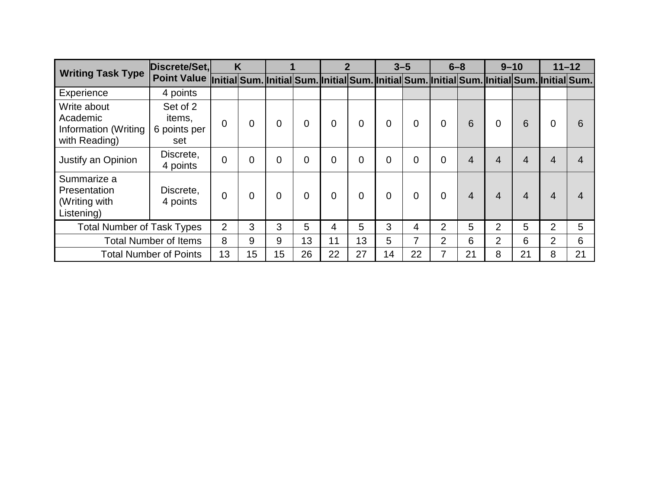| <b>Writing Task Type</b>                                         | Discrete/Set.                                                                                          |                | K              |    |             |                | $\boldsymbol{p}$ |                | $3 - 5$ | $6 - 8$        |    |                | $9 - 10$       |                | $11 - 12$ |
|------------------------------------------------------------------|--------------------------------------------------------------------------------------------------------|----------------|----------------|----|-------------|----------------|------------------|----------------|---------|----------------|----|----------------|----------------|----------------|-----------|
|                                                                  | Point Value Initial Sum. Initial Sum. Initial Sum. Initial Sum. Initial Sum. Initial Sum. Initial Sum. |                |                |    |             |                |                  |                |         |                |    |                |                |                |           |
| Experience                                                       | 4 points                                                                                               |                |                |    |             |                |                  |                |         |                |    |                |                |                |           |
| Write about<br>Academic<br>Information (Writing<br>with Reading) | Set of 2<br>items,<br>6 points per<br>set                                                              | 0              | 0              | 0  | $\mathbf 0$ | $\overline{0}$ | $\overline{0}$   | $\overline{0}$ | 0       | $\mathbf{0}$   | 6  | $\overline{0}$ | 6              | 0              | 6         |
| Justify an Opinion                                               | Discrete,<br>4 points                                                                                  | $\overline{0}$ | $\Omega$       | 0  | 0           | 0              | $\overline{0}$   | $\overline{0}$ | 0       | $\Omega$       | 4  | 4              | 4              |                |           |
| Summarize a<br>Presentation<br>(Writing with<br>Listening)       | Discrete,<br>4 points                                                                                  | $\overline{0}$ | $\overline{0}$ | 0  | $\Omega$    | $\Omega$       | $\overline{0}$   | $\Omega$       | 0       | $\Omega$       | 4  | 4              | $\overline{4}$ |                |           |
| <b>Total Number of Task Types</b>                                |                                                                                                        | 2              | 3              | 3  | 5           | 4              | 5                | 3              | 4       | $\overline{2}$ | 5  | $\overline{2}$ | 5              | 2              | 5         |
|                                                                  | <b>Total Number of Items</b>                                                                           | 8              | 9              | 9  | 13          | 11             | 13               | 5              | 7       | $\overline{2}$ | 6  | 2              | 6              | $\overline{2}$ | 6         |
|                                                                  | <b>Total Number of Points</b>                                                                          | 13             | 15             | 15 | 26          | 22             | 27               | 14             | 22      |                | 21 | 8              | 21             | 8              | 21        |